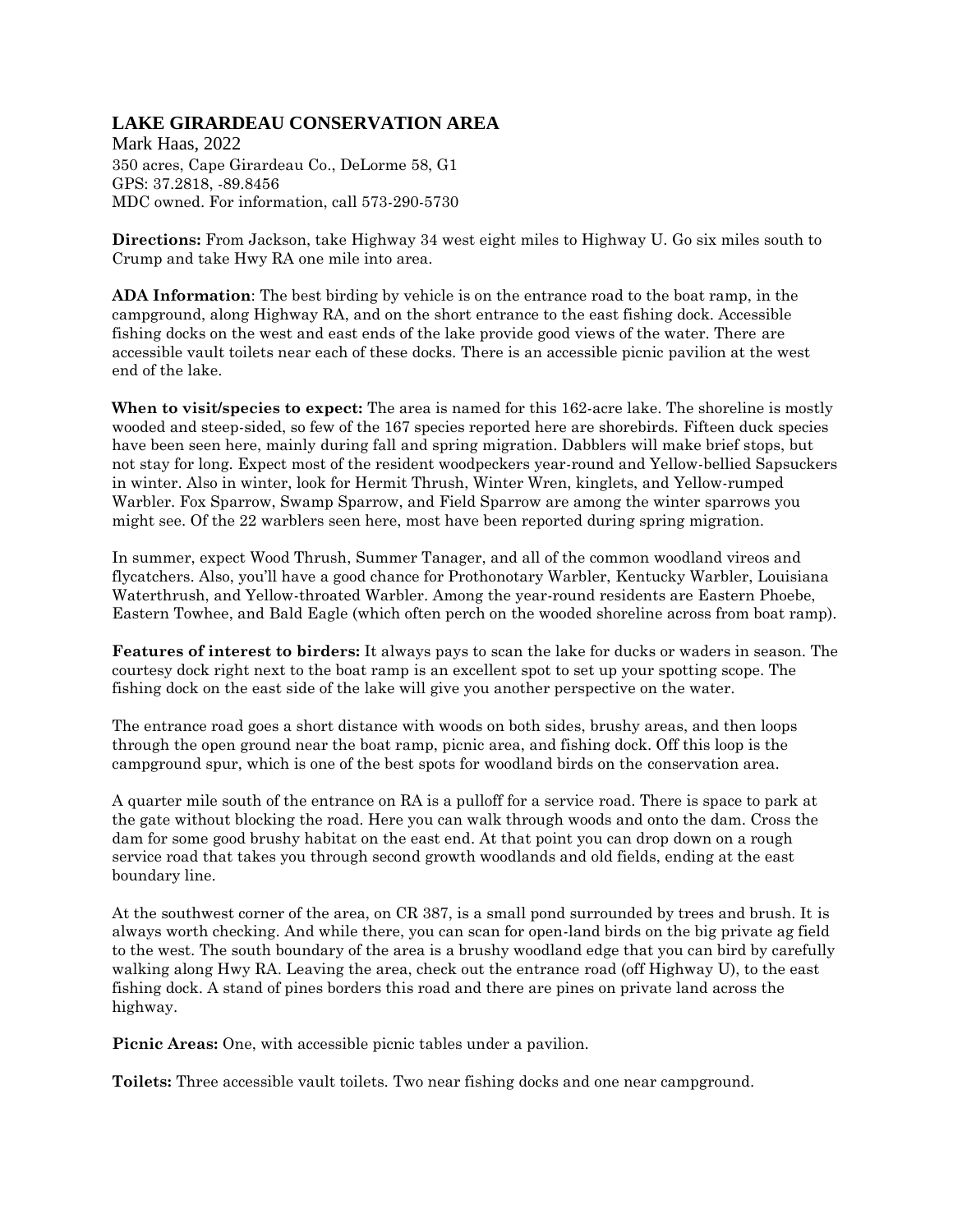## **LAKE GIRARDEAU CONSERVATION AREA**

Mark Haas, 2022 350 acres, Cape Girardeau Co., DeLorme 58, G1 GPS: 37.2818, -89.8456 MDC owned. For information, call 573-290-5730

**Directions:** From Jackson, take Highway 34 west eight miles to Highway U. Go six miles south to Crump and take Hwy RA one mile into area.

**ADA Information**: The best birding by vehicle is on the entrance road to the boat ramp, in the campground, along Highway RA, and on the short entrance to the east fishing dock. Accessible fishing docks on the west and east ends of the lake provide good views of the water. There are accessible vault toilets near each of these docks. There is an accessible picnic pavilion at the west end of the lake.

**When to visit/species to expect:** The area is named for this 162-acre lake. The shoreline is mostly wooded and steep-sided, so few of the 167 species reported here are shorebirds. Fifteen duck species have been seen here, mainly during fall and spring migration. Dabblers will make brief stops, but not stay for long. Expect most of the resident woodpeckers year-round and Yellow-bellied Sapsuckers in winter. Also in winter, look for Hermit Thrush, Winter Wren, kinglets, and Yellow-rumped Warbler. Fox Sparrow, Swamp Sparrow, and Field Sparrow are among the winter sparrows you might see. Of the 22 warblers seen here, most have been reported during spring migration.

In summer, expect Wood Thrush, Summer Tanager, and all of the common woodland vireos and flycatchers. Also, you'll have a good chance for Prothonotary Warbler, Kentucky Warbler, Louisiana Waterthrush, and Yellow-throated Warbler. Among the year-round residents are Eastern Phoebe, Eastern Towhee, and Bald Eagle (which often perch on the wooded shoreline across from boat ramp).

**Features of interest to birders:** It always pays to scan the lake for ducks or waders in season. The courtesy dock right next to the boat ramp is an excellent spot to set up your spotting scope. The fishing dock on the east side of the lake will give you another perspective on the water.

The entrance road goes a short distance with woods on both sides, brushy areas, and then loops through the open ground near the boat ramp, picnic area, and fishing dock. Off this loop is the campground spur, which is one of the best spots for woodland birds on the conservation area.

A quarter mile south of the entrance on RA is a pulloff for a service road. There is space to park at the gate without blocking the road. Here you can walk through woods and onto the dam. Cross the dam for some good brushy habitat on the east end. At that point you can drop down on a rough service road that takes you through second growth woodlands and old fields, ending at the east boundary line.

At the southwest corner of the area, on CR 387, is a small pond surrounded by trees and brush. It is always worth checking. And while there, you can scan for open-land birds on the big private ag field to the west. The south boundary of the area is a brushy woodland edge that you can bird by carefully walking along Hwy RA. Leaving the area, check out the entrance road (off Highway U), to the east fishing dock. A stand of pines borders this road and there are pines on private land across the highway.

**Picnic Areas:** One, with accessible picnic tables under a pavilion.

**Toilets:** Three accessible vault toilets. Two near fishing docks and one near campground.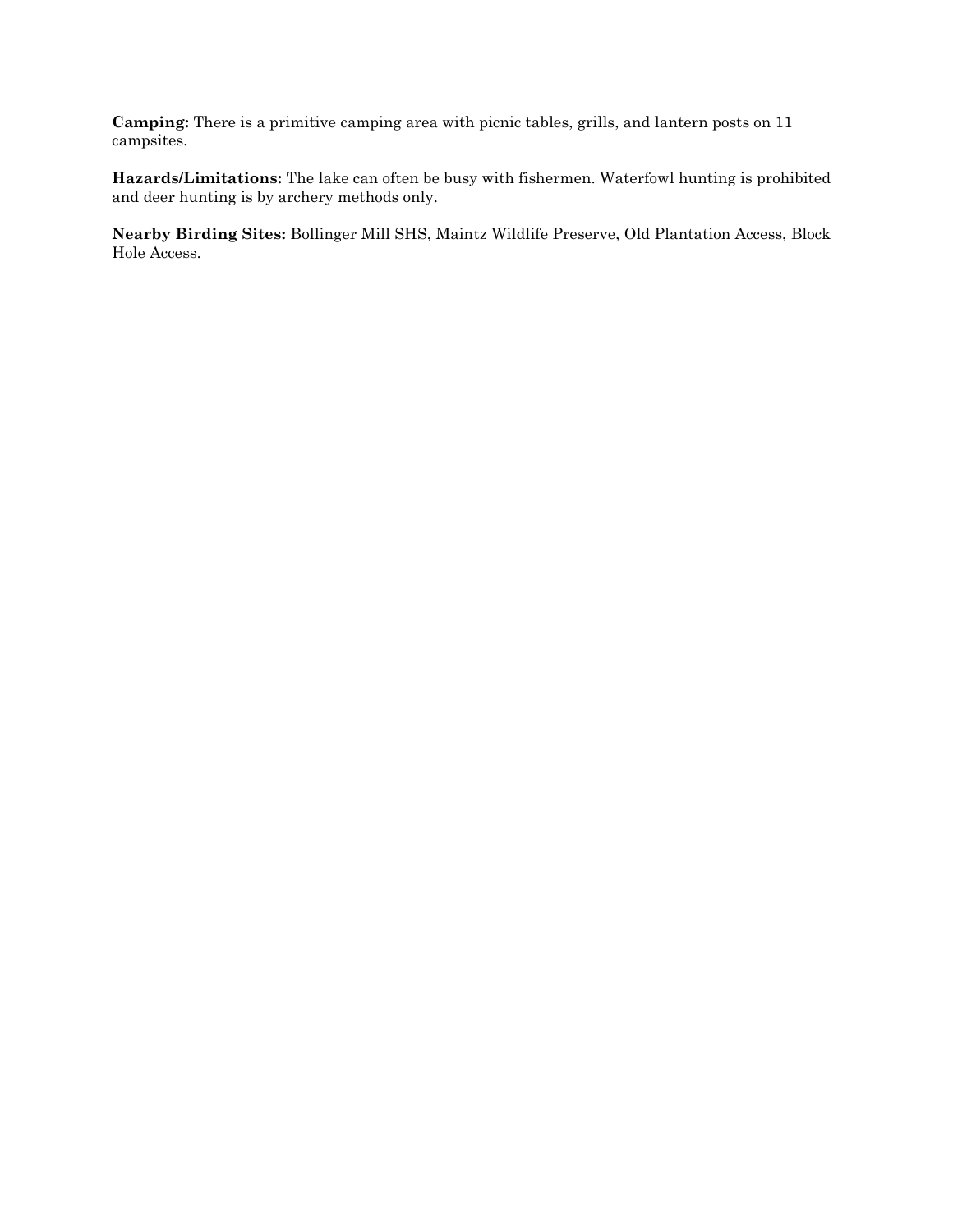**Camping:** There is a primitive camping area with picnic tables, grills, and lantern posts on 11 campsites.

**Hazards/Limitations:** The lake can often be busy with fishermen. Waterfowl hunting is prohibited and deer hunting is by archery methods only.

**Nearby Birding Sites:** Bollinger Mill SHS, Maintz Wildlife Preserve, Old Plantation Access, Block Hole Access.